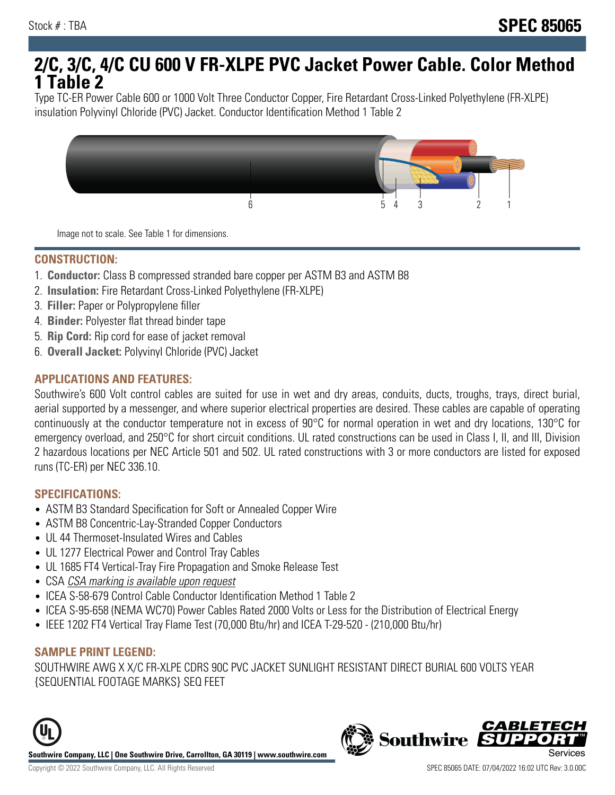# **2/C, 3/C, 4/C CU 600 V FR-XLPE PVC Jacket Power Cable. Color Method 1 Table 2**

Type TC-ER Power Cable 600 or 1000 Volt Three Conductor Copper, Fire Retardant Cross-Linked Polyethylene (FR-XLPE) insulation Polyvinyl Chloride (PVC) Jacket. Conductor Identification Method 1 Table 2



Image not to scale. See Table 1 for dimensions.

#### **CONSTRUCTION:**

- 1. **Conductor:** Class B compressed stranded bare copper per ASTM B3 and ASTM B8
- 2. **Insulation:** Fire Retardant Cross-Linked Polyethylene (FR-XLPE)
- 3. **Filler:** Paper or Polypropylene filler
- 4. **Binder:** Polyester flat thread binder tape
- 5. **Rip Cord:** Rip cord for ease of jacket removal
- 6. **Overall Jacket:** Polyvinyl Chloride (PVC) Jacket

## **APPLICATIONS AND FEATURES:**

Southwire's 600 Volt control cables are suited for use in wet and dry areas, conduits, ducts, troughs, trays, direct burial, aerial supported by a messenger, and where superior electrical properties are desired. These cables are capable of operating continuously at the conductor temperature not in excess of 90°C for normal operation in wet and dry locations, 130°C for emergency overload, and 250°C for short circuit conditions. UL rated constructions can be used in Class I, II, and III, Division 2 hazardous locations per NEC Article 501 and 502. UL rated constructions with 3 or more conductors are listed for exposed runs (TC-ER) per NEC 336.10.

#### **SPECIFICATIONS:**

- ASTM B3 Standard Specification for Soft or Annealed Copper Wire
- ASTM B8 Concentric-Lay-Stranded Copper Conductors
- UL 44 Thermoset-Insulated Wires and Cables
- UL 1277 Electrical Power and Control Tray Cables
- UL 1685 FT4 Vertical-Tray Fire Propagation and Smoke Release Test
- CSA CSA marking is available upon request
- ICEA S-58-679 Control Cable Conductor Identification Method 1 Table 2
- ICEA S-95-658 (NEMA WC70) Power Cables Rated 2000 Volts or Less for the Distribution of Electrical Energy
- IEEE 1202 FT4 Vertical Tray Flame Test (70,000 Btu/hr) and ICEA T-29-520 (210,000 Btu/hr)

#### **SAMPLE PRINT LEGEND:**

SOUTHWIRE AWG X X/C FR-XLPE CDRS 90C PVC JACKET SUNLIGHT RESISTANT DIRECT BURIAL 600 VOLTS YEAR {SEQUENTIAL FOOTAGE MARKS} SEQ FEET